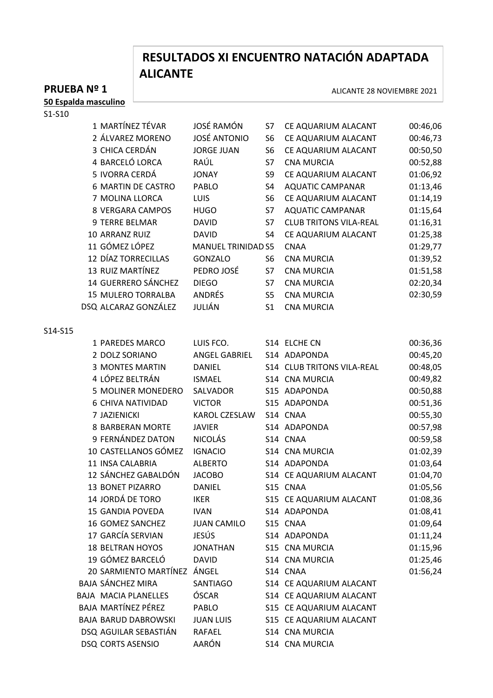# **RESULTADOS XI ENCUENTRO NATACIÓN ADAPTADA ALICANTE**

ALICANTE 28 NOVIEMBRE 2021

# **PRUEBA Nº 1**

**50 Espalda masculino**

S1-S10

|         | 1 MARTÍNEZ TÉVAR            | JOSÉ RAMÓN                | S7             | CE AQUARIUM ALACANT           | 00:46,06 |
|---------|-----------------------------|---------------------------|----------------|-------------------------------|----------|
|         | 2 ÁLVAREZ MORENO            | <b>JOSÉ ANTONIO</b>       | S6             | CE AQUARIUM ALACANT           | 00:46,73 |
|         | 3 CHICA CERDÁN              | <b>JORGE JUAN</b>         | S <sub>6</sub> | CE AQUARIUM ALACANT           | 00:50,50 |
|         | 4 BARCELÓ LORCA             | RAÚL                      | S7             | <b>CNA MURCIA</b>             | 00:52,88 |
|         | 5 IVORRA CERDÁ              | <b>JONAY</b>              | S9             | CE AQUARIUM ALACANT           | 01:06,92 |
|         | <b>6 MARTIN DE CASTRO</b>   | <b>PABLO</b>              | S4             | <b>AQUATIC CAMPANAR</b>       | 01:13,46 |
|         | 7 MOLINA LLORCA             | LUIS                      | S <sub>6</sub> | CE AQUARIUM ALACANT           | 01:14,19 |
|         | <b>8 VERGARA CAMPOS</b>     | <b>HUGO</b>               | S7             | <b>AQUATIC CAMPANAR</b>       | 01:15,64 |
|         | 9 TERRE BELMAR              | <b>DAVID</b>              | S7             | <b>CLUB TRITONS VILA-REAL</b> | 01:16,31 |
|         | 10 ARRANZ RUIZ              | <b>DAVID</b>              | S4             | CE AQUARIUM ALACANT           | 01:25,38 |
|         | 11 GÓMEZ LÓPEZ              | <b>MANUEL TRINIDAD S5</b> |                | <b>CNAA</b>                   | 01:29,77 |
|         | 12 DÍAZ TORRECILLAS         | <b>GONZALO</b>            | S <sub>6</sub> | <b>CNA MURCIA</b>             | 01:39,52 |
|         | 13 RUIZ MARTÍNEZ            | PEDRO JOSÉ                | S7             | <b>CNA MURCIA</b>             | 01:51,58 |
|         | 14 GUERRERO SÁNCHEZ         | <b>DIEGO</b>              | S7             | <b>CNA MURCIA</b>             | 02:20,34 |
|         | <b>15 MULERO TORRALBA</b>   | ANDRÉS                    | S <sub>5</sub> | <b>CNA MURCIA</b>             | 02:30,59 |
|         | DSQ ALCARAZ GONZÁLEZ        | JULIÁN                    | S <sub>1</sub> | <b>CNA MURCIA</b>             |          |
|         |                             |                           |                |                               |          |
| S14-S15 |                             |                           |                |                               |          |
|         | 1 PAREDES MARCO             | LUIS FCO.                 |                | S14 ELCHE CN                  | 00:36,36 |
|         | 2 DOLZ SORIANO              | ANGEL GABRIEL             |                | S14 ADAPONDA                  | 00:45,20 |
|         | <b>3 MONTES MARTIN</b>      | <b>DANIEL</b>             |                | S14 CLUB TRITONS VILA-REAL    | 00:48,05 |
|         | 4 LÓPEZ BELTRÁN             | <b>ISMAEL</b>             |                | S14 CNA MURCIA                | 00:49,82 |
|         | 5 MOLINER MONEDERO          | SALVADOR                  |                | S15 ADAPONDA                  | 00:50,88 |
|         | <b>6 CHIVA NATIVIDAD</b>    | <b>VICTOR</b>             |                | S15 ADAPONDA                  | 00:51,36 |
|         | 7 JAZIENICKI                | KAROL CZESLAW             |                | S14 CNAA                      | 00:55,30 |
|         | <b>8 BARBERAN MORTE</b>     | <b>JAVIER</b>             |                | S14 ADAPONDA                  | 00:57,98 |
|         | 9 FERNÁNDEZ DATON           | <b>NICOLÁS</b>            |                | S14 CNAA                      | 00:59,58 |
|         | 10 CASTELLANOS GÓMEZ        | <b>IGNACIO</b>            |                | S14 CNA MURCIA                | 01:02,39 |
|         | 11 INSA CALABRIA            | <b>ALBERTO</b>            |                | S14 ADAPONDA                  | 01:03,64 |
|         | 12 SÁNCHEZ GABALDÓN         | <b>JACOBO</b>             |                | S14 CE AQUARIUM ALACANT       | 01:04,70 |
|         | 13 BONET PIZARRO            | <b>DANIEL</b>             |                | S15 CNAA                      | 01:05,56 |
|         | 14 JORDÁ DE TORO            | <b>IKER</b>               |                | S15 CE AQUARIUM ALACANT       | 01:08,36 |
|         | <b>15 GANDIA POVEDA</b>     | <b>IVAN</b>               |                | S14 ADAPONDA                  | 01:08,41 |
|         | 16 GOMEZ SANCHEZ            | <b>JUAN CAMILO</b>        |                | S15 CNAA                      | 01:09,64 |
|         | 17 GARCÍA SERVIAN           | <b>JESÚS</b>              |                | S14 ADAPONDA                  | 01:11,24 |
|         | <b>18 BELTRAN HOYOS</b>     | <b>JONATHAN</b>           |                | S15 CNA MURCIA                | 01:15,96 |
|         | 19 GÓMEZ BARCELÓ            | <b>DAVID</b>              |                | S14 CNA MURCIA                | 01:25,46 |
|         | 20 SARMIENTO MARTÍNEZ ÁNGEL |                           |                | S14 CNAA                      | 01:56,24 |
|         | <b>BAJA SÁNCHEZ MIRA</b>    | SANTIAGO                  |                | S14 CE AQUARIUM ALACANT       |          |
|         | <b>BAJA MACIA PLANELLES</b> | ÓSCAR                     |                | S14 CE AQUARIUM ALACANT       |          |
|         | BAJA MARTÍNEZ PÉREZ         | PABLO                     |                | S15 CE AQUARIUM ALACANT       |          |
|         | <b>BAJA BARUD DABROWSKI</b> | <b>JUAN LUIS</b>          |                | S15 CE AQUARIUM ALACANT       |          |
|         | DSQ AGUILAR SEBASTIÁN       | <b>RAFAEL</b>             |                | S14 CNA MURCIA                |          |
|         | <b>DSQ CORTS ASENSIO</b>    | AARÓN                     |                | S14 CNA MURCIA                |          |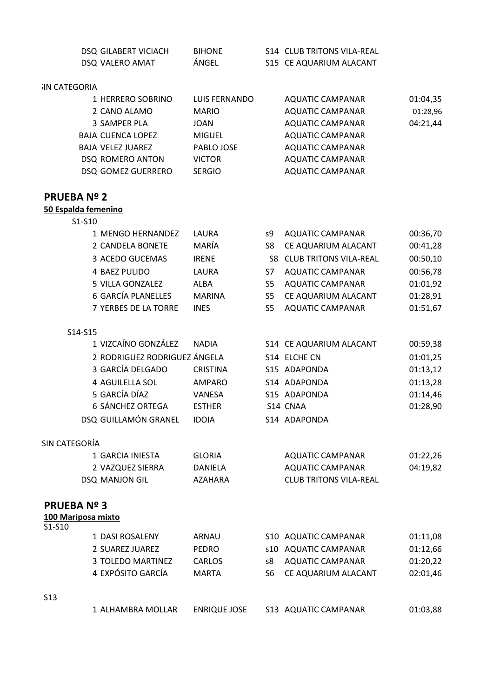| DSQ GILABERT VICIACH | <b>BIHONE</b> | S14 CLUB TRITONS VILA-REAL |
|----------------------|---------------|----------------------------|
| DSQ VALERO AMAT      | ÁNGEL         | S15 CE AQUARIUM ALACANT    |

### **SIN CATEGORIA**

| 1 HERRERO SOBRINO        | LUIS FERNANDO | AQUATIC CAMPANAR        | 01:04,35 |
|--------------------------|---------------|-------------------------|----------|
| 2 CANO ALAMO             | <b>MARIO</b>  | <b>AQUATIC CAMPANAR</b> | 01:28,96 |
| 3 SAMPER PLA             | <b>JOAN</b>   | <b>AQUATIC CAMPANAR</b> | 04:21,44 |
| <b>BAJA CUENCA LOPEZ</b> | <b>MIGUEL</b> | <b>AQUATIC CAMPANAR</b> |          |
| <b>BAJA VELEZ JUAREZ</b> | PABLO JOSE    | AQUATIC CAMPANAR        |          |
| DSQ ROMERO ANTON         | <b>VICTOR</b> | <b>AQUATIC CAMPANAR</b> |          |
| DSQ GOMEZ GUERRERO       | <b>SERGIO</b> | <b>AQUATIC CAMPANAR</b> |          |
|                          |               |                         |          |

### **PRUEBA Nº 2**

#### **50 Espalda femenino**

| 1 MENGO HERNANDEZ    | LAURA         | s9  | <b>AQUATIC CAMPANAR</b>          | 00:36,70 |
|----------------------|---------------|-----|----------------------------------|----------|
| 2 CANDELA BONETE     | MARÍA         | S8  | CE AQUARIUM ALACANT              | 00:41,28 |
| 3 ACEDO GUCEMAS      | <b>IRENE</b>  |     | <b>S8 CLUB TRITONS VILA-REAL</b> | 00:50,10 |
| <b>4 BAEZ PULIDO</b> | LAURA         | S7  | <b>AQUATIC CAMPANAR</b>          | 00:56,78 |
| 5 VILLA GONZALEZ     | ALBA          | S5  | <b>AQUATIC CAMPANAR</b>          | 01:01,92 |
| 6 GARCÍA PLANELLES   | <b>MARINA</b> | S5. | CE AQUARIUM ALACANT              | 01:28,91 |
| 7 YERBES DE LA TORRE | <b>INES</b>   | S5  | <b>AQUATIC CAMPANAR</b>          | 01:51,67 |

#### S14-S15

| 1 VIZCAÍNO GONZÁLEZ          | <b>NADIA</b>    | S14 CE AQUARIUM ALACANT | 00:59,38 |
|------------------------------|-----------------|-------------------------|----------|
| 2 RODRIGUEZ RODRIGUEZ ÁNGELA |                 | S14 ELCHE CN            | 01:01,25 |
| 3 GARCÍA DELGADO             | <b>CRISTINA</b> | S15 ADAPONDA            | 01:13,12 |
| 4 AGUILELLA SOL              | AMPARO          | S14 ADAPONDA            | 01:13,28 |
| 5 GARCÍA DÍAZ                | VANESA          | S15 ADAPONDA            | 01:14,46 |
| 6 SÁNCHEZ ORTEGA             | <b>ESTHER</b>   | S14 CNAA                | 01:28,90 |
| DSQ GUILLAMÓN GRANEL         | <b>IDOIA</b>    | S14 ADAPONDA            |          |
|                              |                 |                         |          |

### SIN CATEGORÍA

| 1 GARCIA INIESTA | GLORIA  | AQUATIC CAMPANAR       | 01:22.26 |
|------------------|---------|------------------------|----------|
| 2 VAZQUEZ SIERRA | DANIFLA | AQUATIC CAMPANAR       | 04:19.82 |
| DSQ MANJON GIL   | AZAHARA | CLUB TRITONS VILA-REAL |          |

#### **PRUEBA Nº 3**

|--|

| S1-S10 |                   |               |     |                      |          |
|--------|-------------------|---------------|-----|----------------------|----------|
|        | 1 DASI ROSALENY   | ARNAU         |     | S10 AQUATIC CAMPANAR | 01:11,08 |
|        | 2 SUAREZ JUAREZ   | <b>PEDRO</b>  |     | s10 AQUATIC CAMPANAR | 01:12,66 |
|        | 3 TOLEDO MARTINEZ | <b>CARLOS</b> | s8. | AQUATIC CAMPANAR     | 01:20,22 |
|        | 4 EXPÓSITO GARCÍA | <b>MARTA</b>  | S6. | CE AQUARIUM ALACANT  | 02:01,46 |
|        |                   |               |     |                      |          |

S13

1 ALHAMBRA MOLLAR ENRIQUE JOSE S13 AQUATIC CAMPANAR 01:03,88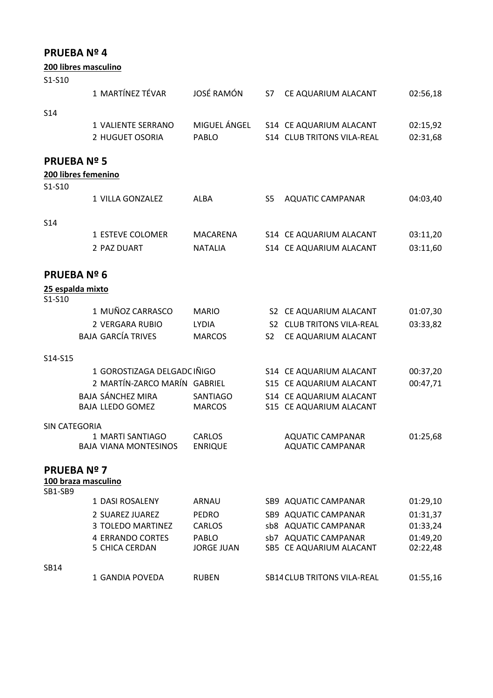|                   | 200 libres masculino                      |                            |                |                                                 |                      |
|-------------------|-------------------------------------------|----------------------------|----------------|-------------------------------------------------|----------------------|
| S1-S10            |                                           |                            |                |                                                 |                      |
|                   | 1 MARTÍNEZ TÉVAR                          | <b>JOSÉ RAMÓN</b>          | S7             | CE AQUARIUM ALACANT                             | 02:56,18             |
| S <sub>14</sub>   |                                           |                            |                |                                                 |                      |
|                   | 1 VALIENTE SERRANO                        | MIGUEL ÁNGEL               |                | S14 CE AQUARIUM ALACANT                         | 02:15,92             |
|                   | 2 HUGUET OSORIA                           | PABLO                      |                | S14 CLUB TRITONS VILA-REAL                      | 02:31,68             |
|                   |                                           |                            |                |                                                 |                      |
| <b>PRUEBANº 5</b> |                                           |                            |                |                                                 |                      |
|                   | 200 libres femenino                       |                            |                |                                                 |                      |
| S1-S10            |                                           |                            |                |                                                 |                      |
|                   | 1 VILLA GONZALEZ                          | <b>ALBA</b>                | S <sub>5</sub> | <b>AQUATIC CAMPANAR</b>                         | 04:03,40             |
|                   |                                           |                            |                |                                                 |                      |
| S <sub>14</sub>   | 1 ESTEVE COLOMER                          | <b>MACARENA</b>            |                | S14 CE AQUARIUM ALACANT                         | 03:11,20             |
|                   | 2 PAZ DUART                               | <b>NATALIA</b>             |                | S14 CE AQUARIUM ALACANT                         | 03:11,60             |
|                   |                                           |                            |                |                                                 |                      |
| <b>PRUEBANº 6</b> |                                           |                            |                |                                                 |                      |
|                   | 25 espalda mixto                          |                            |                |                                                 |                      |
| S1-S10            |                                           |                            |                |                                                 |                      |
|                   | 1 MUÑOZ CARRASCO                          | <b>MARIO</b>               |                | S2 CE AQUARIUM ALACANT                          | 01:07,30             |
|                   | 2 VERGARA RUBIO                           | <b>LYDIA</b>               |                | S2 CLUB TRITONS VILA-REAL                       | 03:33,82             |
|                   | <b>BAJA GARCÍA TRIVES</b>                 | <b>MARCOS</b>              | S <sub>2</sub> | CE AQUARIUM ALACANT                             |                      |
| S14-S15           |                                           |                            |                |                                                 |                      |
|                   | 1 GOROSTIZAGA DELGADC IÑIGO               |                            |                | S14 CE AQUARIUM ALACANT                         | 00:37,20             |
|                   | 2 MARTÍN-ZARCO MARÍN GABRIEL              |                            |                | S15 CE AQUARIUM ALACANT                         | 00:47,71             |
|                   | <b>BAJA SÁNCHEZ MIRA</b>                  | <b>SANTIAGO</b>            |                | S14 CE AQUARIUM ALACANT                         |                      |
|                   | <b>BAJA LLEDO GOMEZ</b>                   | <b>MARCOS</b>              |                | S15 CE AQUARIUM ALACANT                         |                      |
| SIN CATEGORÍA     |                                           |                            |                |                                                 |                      |
|                   | 1 MARTI SANTIAGO                          | CARLOS                     |                | <b>AQUATIC CAMPANAR</b>                         | 01:25,68             |
|                   | <b>BAJA VIANA MONTESINOS</b>              | <b>ENRIQUE</b>             |                | <b>AQUATIC CAMPANAR</b>                         |                      |
| <b>PRUEBANº 7</b> |                                           |                            |                |                                                 |                      |
|                   | 100 braza masculino                       |                            |                |                                                 |                      |
| <b>SB1-SB9</b>    |                                           |                            |                |                                                 |                      |
|                   | 1 DASI ROSALENY                           | ARNAU                      |                | SB9 AQUATIC CAMPANAR                            | 01:29,10             |
|                   | 2 SUAREZ JUAREZ                           | <b>PEDRO</b>               |                | SB9 AQUATIC CAMPANAR                            | 01:31,37             |
|                   | 3 TOLEDO MARTINEZ                         | <b>CARLOS</b>              |                | sb8 AQUATIC CAMPANAR                            | 01:33,24             |
|                   | <b>4 ERRANDO CORTES</b><br>5 CHICA CERDÁN | PABLO<br><b>JORGE JUAN</b> |                | sb7 AQUATIC CAMPANAR<br>SB5 CE AQUARIUM ALACANT | 01:49,20<br>02:22,48 |
|                   |                                           |                            |                |                                                 |                      |
| <b>SB14</b>       |                                           |                            |                |                                                 |                      |
|                   | 1 GANDIA POVEDA                           | <b>RUBEN</b>               |                | <b>SB14 CLUB TRITONS VILA-REAL</b>              | 01:55,16             |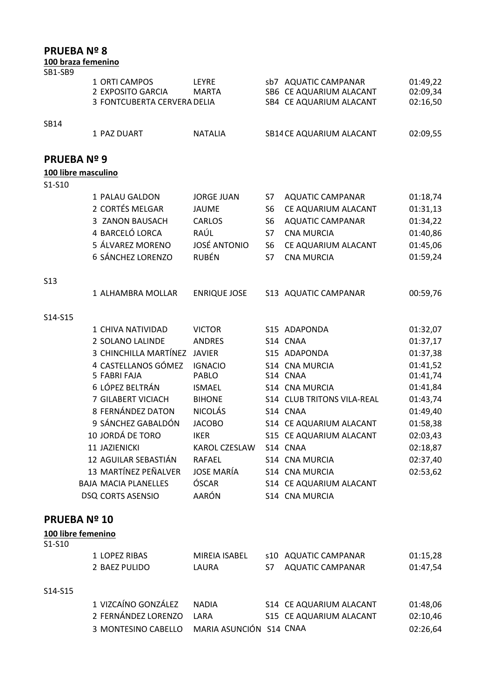### **100 braza femenino**

| SB1-SB9             |                                                                   |                       |                |                                                                            |                                  |
|---------------------|-------------------------------------------------------------------|-----------------------|----------------|----------------------------------------------------------------------------|----------------------------------|
|                     | 1 ORTI CAMPOS<br>2 EXPOSITO GARCIA<br>3 FONTCUBERTA CERVERA DELIA | LEYRE<br><b>MARTA</b> |                | sb7 AQUATIC CAMPANAR<br>SB6 CE AQUARIUM ALACANT<br>SB4 CE AQUARIUM ALACANT | 01:49,22<br>02:09,34<br>02:16,50 |
|                     |                                                                   |                       |                |                                                                            |                                  |
| SB14                |                                                                   |                       |                |                                                                            |                                  |
|                     | 1 PAZ DUART                                                       | <b>NATALIA</b>        |                | SB14 CE AQUARIUM ALACANT                                                   | 02:09,55                         |
| <b>PRUEBANº 9</b>   |                                                                   |                       |                |                                                                            |                                  |
| 100 libre masculino |                                                                   |                       |                |                                                                            |                                  |
| S1-S10              |                                                                   |                       |                |                                                                            |                                  |
|                     | 1 PALAU GALDON                                                    | <b>JORGE JUAN</b>     | S7             | <b>AQUATIC CAMPANAR</b>                                                    | 01:18,74                         |
|                     | 2 CORTÉS MELGAR                                                   | <b>JAUME</b>          | S <sub>6</sub> | CE AQUARIUM ALACANT                                                        | 01:31,13                         |
|                     | 3 ZANON BAUSACH                                                   | <b>CARLOS</b>         | S6             | <b>AQUATIC CAMPANAR</b>                                                    | 01:34,22                         |
|                     | 4 BARCELÓ LORCA                                                   | RAÚL                  | S7             | <b>CNA MURCIA</b>                                                          | 01:40,86                         |
|                     | 5 ÁLVAREZ MORENO                                                  | <b>JOSÉ ANTONIO</b>   | S6             | CE AQUARIUM ALACANT                                                        | 01:45,06                         |
|                     | 6 SÁNCHEZ LORENZO                                                 | <b>RUBÉN</b>          | S7             | <b>CNA MURCIA</b>                                                          | 01:59,24                         |
| S <sub>13</sub>     |                                                                   |                       |                |                                                                            |                                  |
|                     | 1 ALHAMBRA MOLLAR                                                 | <b>ENRIQUE JOSE</b>   |                | S13 AQUATIC CAMPANAR                                                       | 00:59,76                         |
| S14-S15             |                                                                   |                       |                |                                                                            |                                  |
|                     | 1 CHIVA NATIVIDAD                                                 | <b>VICTOR</b>         |                | S15 ADAPONDA                                                               | 01:32,07                         |
|                     | 2 SOLANO LALINDE                                                  | <b>ANDRES</b>         |                | S14 CNAA                                                                   | 01:37,17                         |
|                     | 3 CHINCHILLA MARTÍNEZ                                             | <b>JAVIER</b>         |                | S15 ADAPONDA                                                               | 01:37,38                         |
|                     | 4 CASTELLANOS GÓMEZ                                               | <b>IGNACIO</b>        |                | S14 CNA MURCIA                                                             | 01:41,52                         |
|                     | 5 FABRI FAJA                                                      | PABLO                 |                | S14 CNAA                                                                   | 01:41,74                         |
|                     | 6 LÓPEZ BELTRÁN                                                   | <b>ISMAEL</b>         |                | S14 CNA MURCIA                                                             | 01:41,84                         |
|                     | 7 GILABERT VICIACH                                                | <b>BIHONE</b>         |                | S14 CLUB TRITONS VILA-REAL                                                 | 01:43,74                         |
|                     | 8 FERNÁNDEZ DATON                                                 | <b>NICOLÁS</b>        |                | S14 CNAA                                                                   | 01:49,40                         |
|                     | 9 SÁNCHEZ GABALDÓN                                                | <b>JACOBO</b>         |                | S14 CE AQUARIUM ALACANT                                                    | 01:58,38                         |
|                     | 10 JORDÁ DE TORO                                                  | <b>IKER</b>           |                | S15 CE AQUARIUM ALACANT                                                    | 02:03,43                         |
|                     | 11 JAZIENICKI                                                     | KAROL CZESLAW         |                | S14 CNAA                                                                   | 02:18,87                         |
|                     | 12 AGUILAR SEBASTIÁN                                              | <b>RAFAEL</b>         |                | S14 CNA MURCIA                                                             | 02:37,40                         |
|                     | 13 MARTÍNEZ PEÑALVER                                              | <b>JOSE MARÍA</b>     |                | S14 CNA MURCIA                                                             | 02:53,62                         |
|                     | <b>BAJA MACIA PLANELLES</b>                                       | ÓSCAR                 |                | S14 CE AQUARIUM ALACANT                                                    |                                  |
|                     | <b>DSQ CORTS ASENSIO</b>                                          | AARÓN                 |                | S14 CNA MURCIA                                                             |                                  |
| <b>PRUEBA Nº 10</b> |                                                                   |                       |                |                                                                            |                                  |
| 100 libre femenino  |                                                                   |                       |                |                                                                            |                                  |

S1-S10

| 1 LOPEZ RIBAS<br>2 BAEZ PULIDO | MIREIA ISABEL<br>LAURA | s10 AQUATIC CAMPANAR<br>S7 AQUATIC CAMPANAR | 01:15,28<br>01:47,54 |
|--------------------------------|------------------------|---------------------------------------------|----------------------|
|                                |                        |                                             |                      |

### S14-S15

| 1 VIZCAÍNO GONZÁLEZ                         | NADIA | S14 CE AQUARIUM ALACANT | 01:48.06 |
|---------------------------------------------|-------|-------------------------|----------|
| 2 FERNÁNDEZ LORENZO LARA                    |       | S15 CE AQUARIUM ALACANT | 02:10.46 |
| 3 MONTESINO CABELLO MARIA ASUNCIÓN S14 CNAA |       |                         | 02:26.64 |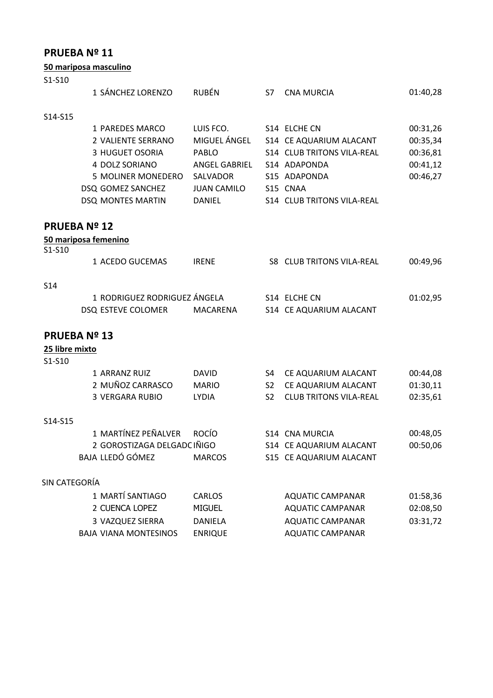|  | 50 mariposa masculino |  |
|--|-----------------------|--|
|  |                       |  |

|                | ou manposa mascumio          |                    |                |                                  |          |
|----------------|------------------------------|--------------------|----------------|----------------------------------|----------|
| S1-S10         |                              |                    |                |                                  |          |
|                | 1 SÁNCHEZ LORENZO            | <b>RUBÉN</b>       | S7             | <b>CNA MURCIA</b>                | 01:40,28 |
| S14-S15        |                              |                    |                |                                  |          |
|                | 1 PAREDES MARCO              | LUIS FCO.          |                | S14 ELCHE CN                     | 00:31,26 |
|                | 2 VALIENTE SERRANO           | MIGUEL ÁNGEL       |                | S14 CE AQUARIUM ALACANT          | 00:35,34 |
|                | 3 HUGUET OSORIA              | PABLO              |                | S14 CLUB TRITONS VILA-REAL       | 00:36,81 |
|                | 4 DOLZ SORIANO               | ANGEL GABRIEL      |                | S14 ADAPONDA                     | 00:41,12 |
|                | 5 MOLINER MONEDERO           | SALVADOR           |                | S15 ADAPONDA                     | 00:46,27 |
|                | DSQ GOMEZ SANCHEZ            | <b>JUAN CAMILO</b> |                | S15 CNAA                         |          |
|                | DSQ MONTES MARTIN            | <b>DANIEL</b>      |                | S14 CLUB TRITONS VILA-REAL       |          |
|                | <b>PRUEBA Nº 12</b>          |                    |                |                                  |          |
|                | 50 mariposa femenino         |                    |                |                                  |          |
| S1-S10         | 1 ACEDO GUCEMAS              | <b>IRENE</b>       |                | <b>S8 CLUB TRITONS VILA-REAL</b> | 00:49,96 |
|                |                              |                    |                |                                  |          |
| <b>S14</b>     |                              |                    |                |                                  |          |
|                | 1 RODRIGUEZ RODRIGUEZ ÁNGELA |                    |                | S14 ELCHE CN                     | 01:02,95 |
|                | DSQ ESTEVE COLOMER           | <b>MACARENA</b>    |                | S14 CE AQUARIUM ALACANT          |          |
|                | <b>PRUEBA Nº 13</b>          |                    |                |                                  |          |
| 25 libre mixto |                              |                    |                |                                  |          |
| S1-S10         |                              |                    |                |                                  |          |
|                | 1 ARRANZ RUIZ                | <b>DAVID</b>       | S4             | CE AQUARIUM ALACANT              | 00:44,08 |
|                | 2 MUÑOZ CARRASCO             | <b>MARIO</b>       | S <sub>2</sub> | CE AQUARIUM ALACANT              | 01:30,11 |
|                | <b>3 VERGARA RUBIO</b>       | <b>LYDIA</b>       | S <sub>2</sub> | <b>CLUB TRITONS VILA-REAL</b>    | 02:35,61 |
| S14-S15        |                              |                    |                |                                  |          |
|                | 1 MARTÍNEZ PEÑALVER          | <b>ROCÍO</b>       |                | S14 CNA MURCIA                   | 00:48,05 |
|                | 2 GOROSTIZAGA DELGADC IÑIGO  |                    |                | S14 CE AQUARIUM ALACANT          | 00:50,06 |
|                | BAJA LLEDÓ GÓMEZ             | <b>MARCOS</b>      |                | S15 CE AQUARIUM ALACANT          |          |
| SIN CATEGORÍA  |                              |                    |                |                                  |          |
|                | 1 MARTÍ SANTIAGO             | <b>CARLOS</b>      |                | <b>AQUATIC CAMPANAR</b>          | 01:58,36 |
|                | 2 CUENCA LOPEZ               | <b>MIGUEL</b>      |                | <b>AQUATIC CAMPANAR</b>          | 02:08,50 |
|                | 3 VAZQUEZ SIERRA             | <b>DANIELA</b>     |                | <b>AQUATIC CAMPANAR</b>          | 03:31,72 |
|                | <b>BAJA VIANA MONTESINOS</b> | <b>ENRIQUE</b>     |                | <b>AQUATIC CAMPANAR</b>          |          |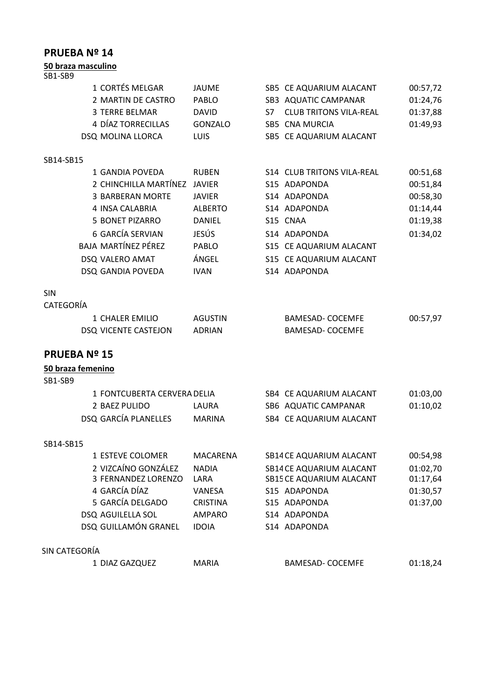| 50 braza masculino          |                 |                                     |          |
|-----------------------------|-----------------|-------------------------------------|----------|
| SB1-SB9                     |                 |                                     |          |
| 1 CORTÉS MELGAR             | <b>JAUME</b>    | SB5 CE AQUARIUM ALACANT             | 00:57,72 |
| 2 MARTIN DE CASTRO          | <b>PABLO</b>    | SB3 AQUATIC CAMPANAR                | 01:24,76 |
| <b>3 TERRE BELMAR</b>       | <b>DAVID</b>    | <b>CLUB TRITONS VILA-REAL</b><br>S7 | 01:37,88 |
| 4 DÍAZ TORRECILLAS          | GONZALO         | SB5 CNA MURCIA                      | 01:49,93 |
| DSQ MOLINA LLORCA           | LUIS            | SB5 CE AQUARIUM ALACANT             |          |
| SB14-SB15                   |                 |                                     |          |
| 1 GANDIA POVEDA             | <b>RUBEN</b>    | S14 CLUB TRITONS VILA-REAL          | 00:51,68 |
| 2 CHINCHILLA MARTÍNEZ       | <b>JAVIER</b>   | S15 ADAPONDA                        | 00:51,84 |
| <b>3 BARBERAN MORTE</b>     | <b>JAVIER</b>   | S14 ADAPONDA                        | 00:58,30 |
| 4 INSA CALABRIA             | <b>ALBERTO</b>  | S14 ADAPONDA                        | 01:14,44 |
| <b>5 BONET PIZARRO</b>      | <b>DANIEL</b>   | S15 CNAA                            | 01:19,38 |
| <b>6 GARCÍA SERVIAN</b>     | JESÚS           | S14 ADAPONDA                        | 01:34,02 |
| <b>BAJA MARTÍNEZ PÉREZ</b>  | PABLO           | S15 CE AQUARIUM ALACANT             |          |
| DSQ VALERO AMAT             | ÁNGEL           | S15 CE AQUARIUM ALACANT             |          |
| DSQ GANDIA POVEDA           | <b>IVAN</b>     | S14 ADAPONDA                        |          |
| <b>SIN</b>                  |                 |                                     |          |
| CATEGORÍA                   |                 |                                     |          |
| 1 CHALER EMILIO             | <b>AGUSTIN</b>  | <b>BAMESAD- COCEMFE</b>             | 00:57,97 |
| DSQ VICENTE CASTEJON        | <b>ADRIAN</b>   | <b>BAMESAD- COCEMFE</b>             |          |
| <b>PRUEBANº 15</b>          |                 |                                     |          |
| 50 braza femenino           |                 |                                     |          |
| SB1-SB9                     |                 |                                     |          |
| 1 FONTCUBERTA CERVERA DELIA |                 | SB4 CE AQUARIUM ALACANT             | 01:03,00 |
| 2 BAEZ PULIDO               | LAURA           | SB6 AQUATIC CAMPANAR                | 01:10,02 |
| <b>DSQ GARCÍA PLANELLES</b> | <b>MARINA</b>   | SB4 CE AQUARIUM ALACANT             |          |
| SB14-SB15                   |                 |                                     |          |
| 1 ESTEVE COLOMER            | <b>MACARENA</b> | SB14 CE AQUARIUM ALACANT            | 00:54,98 |
| 2 VIZCAÍNO GONZÁLEZ         | <b>NADIA</b>    | SB14 CE AQUARIUM ALACANT            | 01:02,70 |
| 3 FERNÁNDEZ LORENZO         | LARA            | SB15 CE AQUARIUM ALACANT            | 01:17,64 |
| 4 GARCÍA DÍAZ               | VANESA          | S15 ADAPONDA                        | 01:30,57 |
| 5 GARCÍA DELGADO            | <b>CRISTINA</b> | S15 ADAPONDA                        | 01:37,00 |
| DSQ AGUILELLA SOL           | <b>AMPARO</b>   | S14 ADAPONDA                        |          |
| DSQ GUILLAMÓN GRANEL        | <b>IDOIA</b>    | S14 ADAPONDA                        |          |
| SIN CATEGORÍA               |                 |                                     |          |
| 1 DIAZ GAZQUEZ              | <b>MARIA</b>    | <b>BAMESAD- COCEMFE</b>             | 01:18,24 |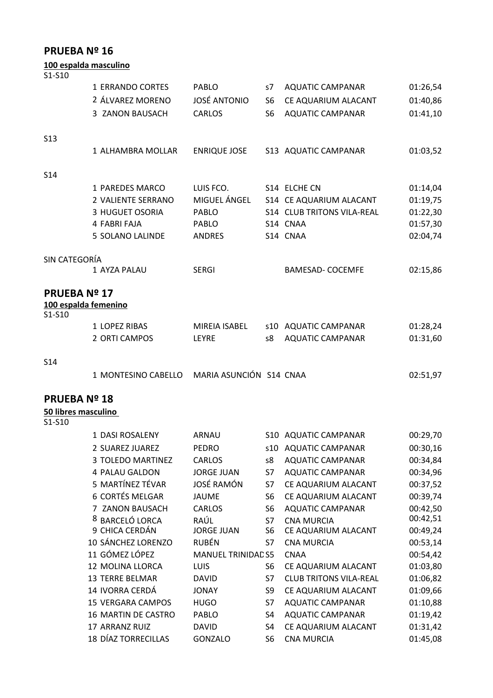|                     | <u>100 espalda masculino</u> |                     |                |                            |          |
|---------------------|------------------------------|---------------------|----------------|----------------------------|----------|
| S1-S10              |                              |                     |                |                            |          |
|                     | 1 ERRANDO CORTES             | PABLO               | s7             | <b>AQUATIC CAMPANAR</b>    | 01:26,54 |
|                     | 2 ÁLVAREZ MORENO             | <b>JOSÉ ANTONIO</b> | S <sub>6</sub> | CE AQUARIUM ALACANT        | 01:40,86 |
|                     | 3 ZANON BAUSACH              | <b>CARLOS</b>       | S <sub>6</sub> | <b>AQUATIC CAMPANAR</b>    | 01:41,10 |
| <b>S13</b>          |                              |                     |                |                            |          |
|                     | 1 ALHAMBRA MOLLAR            | <b>ENRIQUE JOSE</b> |                | S13 AQUATIC CAMPANAR       | 01:03,52 |
| <b>S14</b>          |                              |                     |                |                            |          |
|                     | 1 PAREDES MARCO              | LUIS FCO.           |                | S14 ELCHE CN               | 01:14,04 |
|                     | 2 VALIENTE SERRANO           | MIGUEL ÁNGEL        |                | S14 CE AQUARIUM ALACANT    | 01:19,75 |
|                     | 3 HUGUET OSORIA              | <b>PABLO</b>        |                | S14 CLUB TRITONS VILA-REAL | 01:22,30 |
|                     | 4 FABRI FAJA                 | PABLO               |                | S14 CNAA                   | 01:57,30 |
|                     | <b>5 SOLANO LALINDE</b>      | <b>ANDRES</b>       |                | S14 CNAA                   | 02:04,74 |
| SIN CATEGORÍA       |                              |                     |                |                            |          |
|                     | 1 AYZA PALAU                 | <b>SERGI</b>        |                | <b>BAMESAD- COCEMFE</b>    | 02:15,86 |
| <b>PRUEBA Nº 17</b> |                              |                     |                |                            |          |
| S1-S10              | 100 espalda femenino         |                     |                |                            |          |
|                     | 1 LOPEZ RIBAS                | MIREIA ISABEL       |                | s10 AQUATIC CAMPANAR       | 01:28,24 |
|                     | 2 ORTI CAMPOS                | LEYRE               | s8             | <b>AQUATIC CAMPANAR</b>    | 01:31,60 |
| S <sub>14</sub>     |                              |                     |                |                            |          |

|  | 1 MONTESINO CABELLO MARIA ASUNCIÓN S14 CNAA | 02:51,97 |
|--|---------------------------------------------|----------|
|--|---------------------------------------------|----------|

# **PRUEBA Nº 18**

### **50 libres masculino**

S1-S10

| 1 DASI ROSALENY            | ARNAU                     | S10 | <b>AQUATIC CAMPANAR</b>       | 00:29,70 |
|----------------------------|---------------------------|-----|-------------------------------|----------|
| 2 SUAREZ JUAREZ            | <b>PEDRO</b>              | s10 | <b>AQUATIC CAMPANAR</b>       | 00:30,16 |
| 3 TOLEDO MARTINEZ          | <b>CARLOS</b>             | s8  | <b>AQUATIC CAMPANAR</b>       | 00:34,84 |
| 4 PALAU GALDON             | <b>JORGE JUAN</b>         | S7  | <b>AQUATIC CAMPANAR</b>       | 00:34,96 |
| 5 MARTÍNEZ TÉVAR           | JOSÉ RAMÓN                | S7  | CE AQUARIUM ALACANT           | 00:37,52 |
| <b>6 CORTÉS MELGAR</b>     | JAUME                     | S6  | CE AQUARIUM ALACANT           | 00:39,74 |
| 7 ZANON BAUSACH            | <b>CARLOS</b>             | S6  | <b>AQUATIC CAMPANAR</b>       | 00:42,50 |
| <b>BARCELÓ LORCA</b><br>8  | RAÚL                      | S7  | <b>CNA MURCIA</b>             | 00:42,51 |
| 9 CHICA CERDÁN             | <b>JORGE JUAN</b>         | S6  | CE AQUARIUM ALACANT           | 00:49,24 |
| 10 SÁNCHEZ LORENZO         | <b>RUBÉN</b>              | S7  | <b>CNA MURCIA</b>             | 00:53,14 |
| 11 GÓMEZ LÓPEZ             | <b>MANUEL TRINIDAD S5</b> |     | <b>CNAA</b>                   | 00:54,42 |
| 12 MOLINA LLORCA           | <b>LUIS</b>               | S6  | CE AQUARIUM ALACANT           | 01:03,80 |
| <b>13 TERRE BELMAR</b>     | <b>DAVID</b>              | S7  | <b>CLUB TRITONS VILA-REAL</b> | 01:06,82 |
| 14 IVORRA CERDÁ            | <b>JONAY</b>              | S9  | CE AQUARIUM ALACANT           | 01:09,66 |
| <b>15 VERGARA CAMPOS</b>   | <b>HUGO</b>               | S7  | <b>AQUATIC CAMPANAR</b>       | 01:10,88 |
| <b>16 MARTIN DE CASTRO</b> | PABLO                     | S4  | <b>AQUATIC CAMPANAR</b>       | 01:19,42 |
| <b>17 ARRANZ RUIZ</b>      | <b>DAVID</b>              | S4  | CE AQUARIUM ALACANT           | 01:31,42 |
| <b>18 DÍAZ TORRECILLAS</b> | <b>GONZALO</b>            | S6  | <b>CNA MURCIA</b>             | 01:45,08 |
|                            |                           |     |                               |          |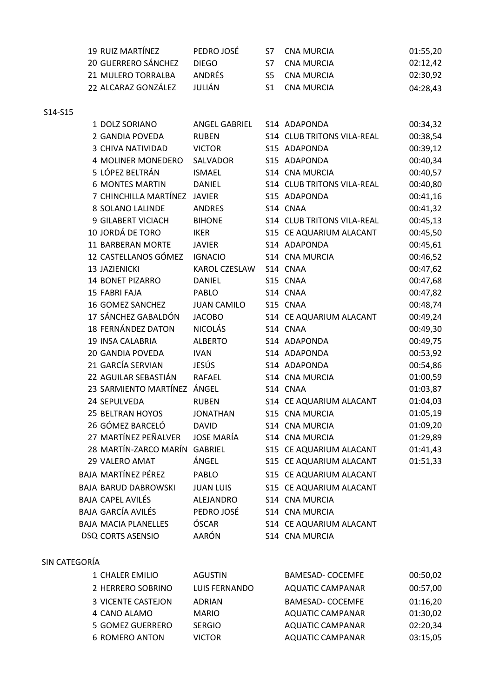| 19 RUIZ MARTÍNEZ    | PEDRO JOSÉ    | S7 CNA MURCIA | 01:55.20 |
|---------------------|---------------|---------------|----------|
| 20 GUERRERO SÁNCHEZ | DIFGO.        | S7 CNA MURCIA | 02:12.42 |
| 21 MULERO TORRALBA  | <b>ANDRÉS</b> | S5 CNA MURCIA | 02:30.92 |
| 22 ALCARAZ GONZÁLEZ | JULIÁN        | S1 CNA MURCIA | 04:28,43 |

S14-S15

| 1 DOLZ SORIANO                | <b>ANGEL GABRIEL</b> | S14 ADAPONDA               | 00:34,32 |
|-------------------------------|----------------------|----------------------------|----------|
| 2 GANDIA POVEDA               | <b>RUBEN</b>         | S14 CLUB TRITONS VILA-REAL | 00:38,54 |
| 3 CHIVA NATIVIDAD             | <b>VICTOR</b>        | S15 ADAPONDA               | 00:39,12 |
| 4 MOLINER MONEDERO            | SALVADOR             | S15 ADAPONDA               | 00:40,34 |
| 5 LÓPEZ BELTRÁN               | <b>ISMAEL</b>        | S14 CNA MURCIA             | 00:40,57 |
| <b>6 MONTES MARTIN</b>        | <b>DANIEL</b>        | S14 CLUB TRITONS VILA-REAL | 00:40,80 |
| 7 CHINCHILLA MARTÍNEZ JAVIER  |                      | S15 ADAPONDA               | 00:41,16 |
| 8 SOLANO LALINDE              | <b>ANDRES</b>        | S14 CNAA                   | 00:41,32 |
| 9 GILABERT VICIACH            | <b>BIHONE</b>        | S14 CLUB TRITONS VILA-REAL | 00:45,13 |
| 10 JORDÁ DE TORO              | <b>IKER</b>          | S15 CE AQUARIUM ALACANT    | 00:45,50 |
| 11 BARBERAN MORTE             | <b>JAVIER</b>        | S14 ADAPONDA               | 00:45,61 |
| 12 CASTELLANOS GÓMEZ          | <b>IGNACIO</b>       | S14 CNA MURCIA             | 00:46,52 |
| 13 JAZIENICKI                 | KAROL CZESLAW        | S14 CNAA                   | 00:47,62 |
| 14 BONET PIZARRO              | <b>DANIEL</b>        | S15 CNAA                   | 00:47,68 |
| 15 FABRI FAJA                 | <b>PABLO</b>         | S14 CNAA                   | 00:47,82 |
| 16 GOMEZ SANCHEZ              | <b>JUAN CAMILO</b>   | S15 CNAA                   | 00:48,74 |
| 17 SÁNCHEZ GABALDÓN           | <b>JACOBO</b>        | S14 CE AQUARIUM ALACANT    | 00:49,24 |
| 18 FERNÁNDEZ DATON            | <b>NICOLÁS</b>       | S14 CNAA                   | 00:49,30 |
| <b>19 INSA CALABRIA</b>       | <b>ALBERTO</b>       | S14 ADAPONDA               | 00:49,75 |
| 20 GANDIA POVEDA              | <b>IVAN</b>          | S14 ADAPONDA               | 00:53,92 |
| 21 GARCÍA SERVIAN             | JESÚS                | S14 ADAPONDA               | 00:54,86 |
| 22 AGUILAR SEBASTIÁN          | <b>RAFAEL</b>        | S14 CNA MURCIA             | 01:00,59 |
| 23 SARMIENTO MARTÍNEZ ÁNGEL   |                      | S14 CNAA                   | 01:03,87 |
| 24 SEPULVEDA                  | <b>RUBEN</b>         | S14 CE AQUARIUM ALACANT    | 01:04,03 |
| <b>25 BELTRAN HOYOS</b>       | <b>JONATHAN</b>      | S15 CNA MURCIA             | 01:05,19 |
| 26 GÓMEZ BARCELÓ              | <b>DAVID</b>         | S14 CNA MURCIA             | 01:09,20 |
| 27 MARTÍNEZ PEÑALVER          | <b>JOSE MARÍA</b>    | S14 CNA MURCIA             | 01:29,89 |
| 28 MARTÍN-ZARCO MARÍN GABRIEL |                      | S15 CE AQUARIUM ALACANT    | 01:41,43 |
| 29 VALERO AMAT                | ÁNGEL                | S15 CE AQUARIUM ALACANT    | 01:51,33 |
| BAJA MARTÍNEZ PÉREZ           | <b>PABLO</b>         | S15 CE AQUARIUM ALACANT    |          |
| <b>BAJA BARUD DABROWSKI</b>   | <b>JUAN LUIS</b>     | S15 CE AQUARIUM ALACANT    |          |
| BAJA CAPEL AVILÉS             | ALEJANDRO            | S14 CNA MURCIA             |          |
| BAJA GARCÍA AVILÉS            | PEDRO JOSÉ           | S14 CNA MURCIA             |          |
| <b>BAJA MACIA PLANELLES</b>   | ÓSCAR                | S14 CE AQUARIUM ALACANT    |          |
| <b>DSQ CORTS ASENSIO</b>      | <b>AARÓN</b>         | S14 CNA MURCIA             |          |
|                               |                      |                            |          |

#### SIN CATEGORÍA

| 1 CHALER EMILIO    | <b>AGUSTIN</b> | <b>BAMESAD- COCEMFE</b> | 00:50,02 |
|--------------------|----------------|-------------------------|----------|
| 2 HERRERO SOBRINO  | LUIS FERNANDO  | <b>AQUATIC CAMPANAR</b> | 00:57,00 |
| 3 VICENTE CASTEJON | ADRIAN         | <b>BAMESAD- COCEMFE</b> | 01:16,20 |
| 4 CANO ALAMO       | <b>MARIO</b>   | AQUATIC CAMPANAR        | 01:30,02 |
| 5 GOMEZ GUERRERO   | <b>SERGIO</b>  | AQUATIC CAMPANAR        | 02:20,34 |
| 6 ROMERO ANTON     | VICTOR         | <b>AQUATIC CAMPANAR</b> | 03:15,05 |